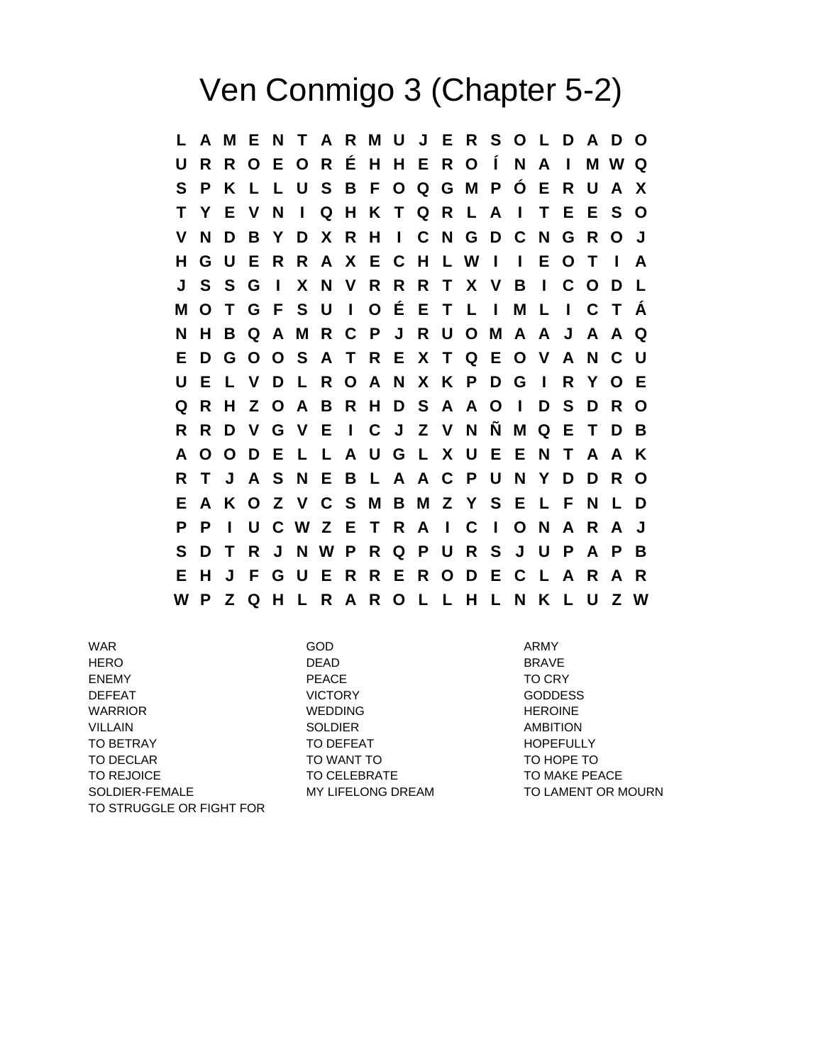## Ven Conmigo 3 (Chapter 5-2)

**L A M E N T A R M U J E R S O L D A D O U R R O E O R É H H E R O Í N A I M W Q S P K L L U S B F O Q G M P Ó E R U A X T Y E V N I Q H K T Q R L A I T E E S O V N D B Y D X R H I C N G D C N G R O J H G U E R R A X E C H L W I I E O T I A J S S G I X N V R R R T X V B I C O D L M O T G F S U I O É E T L I M L I C T Á N H B Q A M R C P J R U O M A A J A A Q E D G O O S A T R E X T Q E O V A N C U U E L V D L R O A N X K P D G I R Y O E Q R H Z O A B R H D S A A O I D S D R O R R D V G V E I C J Z V N Ñ M Q E T D B A O O D E L L A U G L X U E E N T A A K R T J A S N E B L A A C P U N Y D D R O E A K O Z V C S M B M Z Y S E L F N L D P P I U C W Z E T R A I C I O N A R A J S D T R J N W P R Q P U R S J U P A P B E H J F G U E R R E R O D E C L A R A R W P Z Q H L R A R O L L H L N K L U Z W**

WAR GOD ARMY GOD ARMY HERO DEAD BRAVE ENEMY FEACE TO CRY DEFEAT VICTORY GODDESS WARRIOR WEDDING HEROINE VILLAIN SOLDIER AMBITION TO BETRAY TO DEFEAT TO DEFEAT TO DEFEAT TO DEFEAT TO A REPORT OF THE REPORT OF THE REPORT OF THE REPORT OF THE TO DECLAR TO MANT TO WANT TO TO TO HOPE TO TO REJOICE TO CELEBRATE TO THE TO MAKE PEACE SOLDIER-FEMALE MY LIFELONG DREAM TO LAMENT OR MOURN TO STRUGGLE OR FIGHT FOR